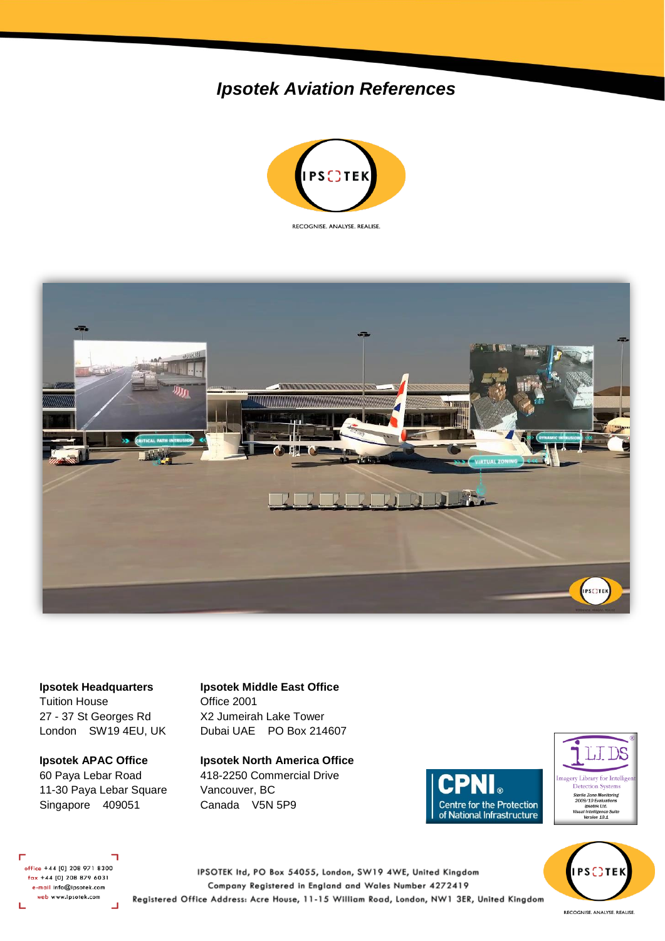## *Ipsotek Aviation References*





Tuition House **Office 2001** 27 - 37 St Georges Rd X2 Jumeirah Lake Tower

11-30 Paya Lebar Square Vancouver, BC Singapore 409051 Canada V5N 5P9

## **Ipsotek Headquarters Ipsotek Middle East Office**

London SW19 4EU, UK Dubai UAE PO Box 214607

**Ipsotek APAC Office Ipsotek North America Office** 60 Paya Lebar Road 418-2250 Commercial Drive





**PSCTE** 

office +44 [0] 208 971 8300 fax +44 [0] 208 879 6031 e-mail info@ipsotek.com web www.ipsotek.com L  $\overline{\phantom{0}}$ 

IPSOTEK Itd, PO Box 54055, London, SW19 4WE, United Kingdom Company Registered in England and Wales Number 4272419 Registered Office Address: Acre House, 11-15 William Road, London, NW1 3ER, United Kingdom

RECOGNISE. ANALYSE. REALISE.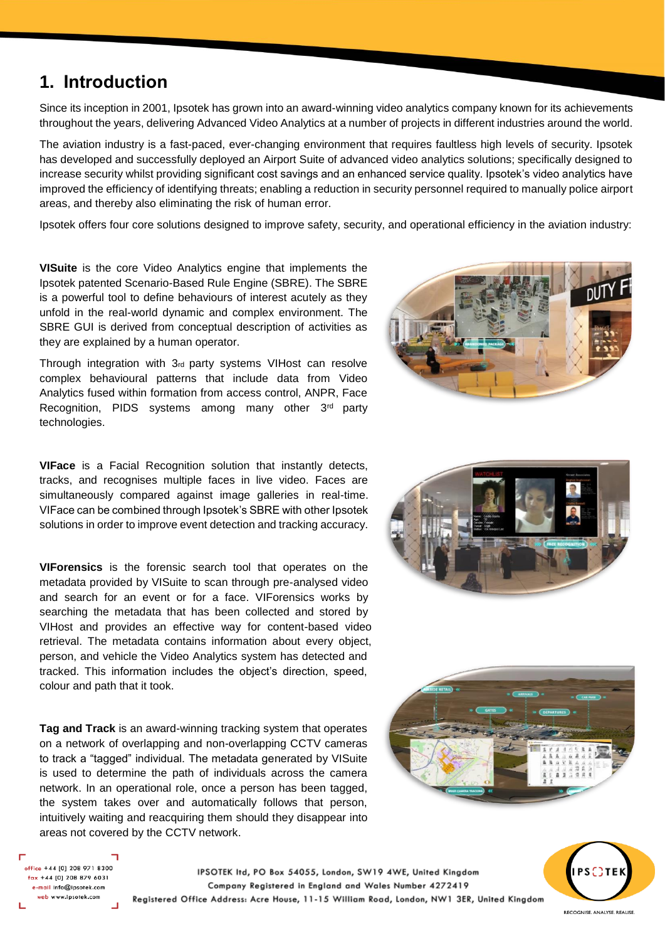## **1. Introduction**

Since its inception in 2001, Ipsotek has grown into an award-winning video analytics company known for its achievements throughout the years, delivering Advanced Video Analytics at a number of projects in different industries around the world.

The aviation industry is a fast-paced, ever-changing environment that requires faultless high levels of security. Ipsotek has developed and successfully deployed an Airport Suite of advanced video analytics solutions; specifically designed to increase security whilst providing significant cost savings and an enhanced service quality. Ipsotek's video analytics have improved the efficiency of identifying threats; enabling a reduction in security personnel required to manually police airport areas, and thereby also eliminating the risk of human error.

Ipsotek offers four core solutions designed to improve safety, security, and operational efficiency in the aviation industry:

**VISuite** is the core Video Analytics engine that implements the Ipsotek patented Scenario-Based Rule Engine (SBRE). The SBRE is a powerful tool to define behaviours of interest acutely as they unfold in the real-world dynamic and complex environment. The SBRE GUI is derived from conceptual description of activities as they are explained by a human operator.

Through integration with 3rd party systems VIHost can resolve complex behavioural patterns that include data from Video Analytics fused within formation from access control, ANPR, Face Recognition, PIDS systems among many other 3<sup>rd</sup> party technologies.



**VIFace** is a Facial Recognition solution that instantly detects, tracks, and recognises multiple faces in live video. Faces are simultaneously compared against image galleries in real-time. VIFace can be combined through Ipsotek's SBRE with other Ipsotek solutions in order to improve event detection and tracking accuracy.

**VIForensics** is the forensic search tool that operates on the metadata provided by VISuite to scan through pre-analysed video and search for an event or for a face. VIForensics works by searching the metadata that has been collected and stored by VIHost and provides an effective way for content-based video retrieval. The metadata contains information about every object, person, and vehicle the Video Analytics system has detected and tracked. This information includes the object's direction, speed, colour and path that it took.

**Tag and Track** is an award-winning tracking system that operates on a network of overlapping and non-overlapping CCTV cameras to track a "tagged" individual. The metadata generated by VISuite is used to determine the path of individuals across the camera network. In an operational role, once a person has been tagged, the system takes over and automatically follows that person, intuitively waiting and reacquiring them should they disappear into areas not covered by the CCTV network.





office +44 [0] 208 971 8300  $\frac{1}{2}$  fax +44 [0] 208 879 6031 e-mail info@ipsotek.com web www.ipsotek.com

IPSOTEK Itd, PO Box 54055, London, SW19 4WE, United Kingdom Company Registered in England and Wales Number 4272419 Registered Office Address: Acre House, 11-15 William Road, London, NW1 3ER, United Kingdom



RECOGNISE. ANALYSE. REALISE